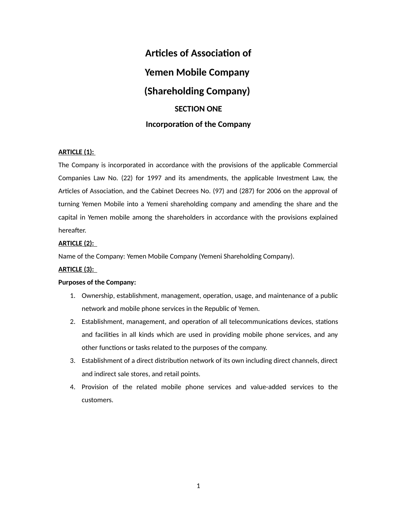# **Articles of Association of Yemen Mobile Company (Shareholding Company) SECTION ONE Incorporation of the Company**

# **ARTICLE (1):**

The Company is incorporated in accordance with the provisions of the applicable Commercial Companies Law No. (22) for 1997 and its amendments, the applicable Investment Law, the Articles of Association, and the Cabinet Decrees No. (97) and (287) for 2006 on the approval of turning Yemen Mobile into a Yemeni shareholding company and amending the share and the capital in Yemen mobile among the shareholders in accordance with the provisions explained hereafter.

# **ARTICLE (2):**

Name of the Company: Yemen Mobile Company (Yemeni Shareholding Company).

# **ARTICLE (3):**

# **Purposes of the Company:**

- 1. Ownership, establishment, management, operation, usage, and maintenance of a public network and mobile phone services in the Republic of Yemen.
- 2. Establishment, management, and operation of all telecommunications devices, stations and facilities in all kinds which are used in providing mobile phone services, and any other functions or tasks related to the purposes of the company.
- 3. Establishment of a direct distribution network of its own including direct channels, direct and indirect sale stores, and retail points.
- 4. Provision of the related mobile phone services and value-added services to the customers.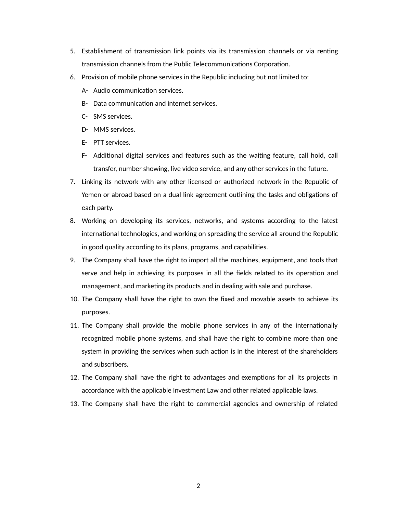- 5. Establishment of transmission link points via its transmission channels or via renting transmission channels from the Public Telecommunications Corporation.
- 6. Provision of mobile phone services in the Republic including but not limited to:
	- A- Audio communication services.
	- B- Data communication and internet services.
	- C- SMS services.
	- D- MMS services.
	- E- PTT services.
	- F- Additional digital services and features such as the waiting feature, call hold, call transfer, number showing, live video service, and any other services in the future.
- 7. Linking its network with any other licensed or authorized network in the Republic of Yemen or abroad based on a dual link agreement outlining the tasks and obligations of each party.
- 8. Working on developing its services, networks, and systems according to the latest international technologies, and working on spreading the service all around the Republic in good quality according to its plans, programs, and capabilities.
- 9. The Company shall have the right to import all the machines, equipment, and tools that serve and help in achieving its purposes in all the fields related to its operation and management, and marketing its products and in dealing with sale and purchase.
- 10. The Company shall have the right to own the fixed and movable assets to achieve its purposes.
- 11. The Company shall provide the mobile phone services in any of the internationally recognized mobile phone systems, and shall have the right to combine more than one system in providing the services when such action is in the interest of the shareholders and subscribers.
- 12. The Company shall have the right to advantages and exemptions for all its projects in accordance with the applicable Investment Law and other related applicable laws.
- 13. The Company shall have the right to commercial agencies and ownership of related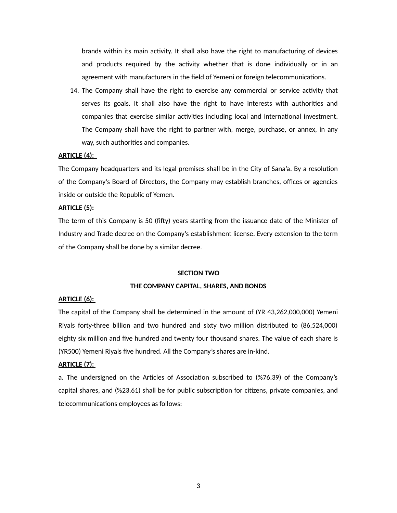brands within its main activity. It shall also have the right to manufacturing of devices and products required by the activity whether that is done individually or in an agreement with manufacturers in the field of Yemeni or foreign telecommunications.

14. The Company shall have the right to exercise any commercial or service activity that serves its goals. It shall also have the right to have interests with authorities and companies that exercise similar activities including local and international investment. The Company shall have the right to partner with, merge, purchase, or annex, in any way, such authorities and companies.

### **ARTICLE (4):**

The Company headquarters and its legal premises shall be in the City of Sana'a. By a resolution of the Company's Board of Directors, the Company may establish branches, offices or agencies inside or outside the Republic of Yemen.

### **ARTICLE (5):**

The term of this Company is 50 (fifty) years starting from the issuance date of the Minister of Industry and Trade decree on the Company's establishment license. Every extension to the term of the Company shall be done by a similar decree.

#### **SECTION TWO**

### **THE COMPANY CAPITAL, SHARES, AND BONDS**

### **ARTICLE (6):**

The capital of the Company shall be determined in the amount of (YR 43,262,000,000) Yemeni Riyals forty-three billion and two hundred and sixty two million distributed to (86,524,000) eighty six million and five hundred and twenty four thousand shares. The value of each share is (YR500) Yemeni Riyals five hundred. All the Company's shares are in-kind.

#### **ARTICLE (7):**

a. The undersigned on the Articles of Association subscribed to (%76.39) of the Company's capital shares, and (%23.61) shall be for public subscription for citizens, private companies, and telecommunications employees as follows: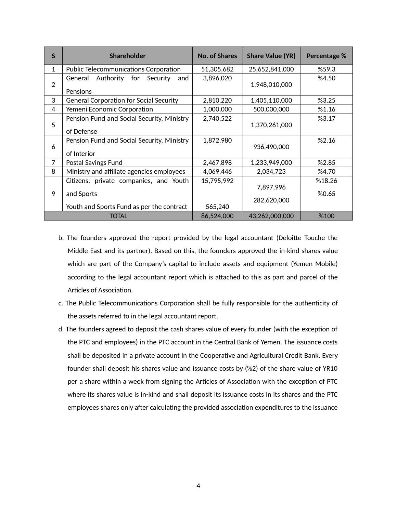| S            | <b>Shareholder</b>                                        | <b>No. of Shares</b> | <b>Share Value (YR)</b> | Percentage %    |
|--------------|-----------------------------------------------------------|----------------------|-------------------------|-----------------|
| 1            | <b>Public Telecommunications Corporation</b>              | 51,305,682           | 25,652,841,000          | %59.3           |
| 2            | Authority for<br>General<br>Security<br>and<br>Pensions   | 3,896,020            | 1,948,010,000           | %4.50           |
| 3            | <b>General Corporation for Social Security</b>            | 2,810,220            | 1,405,110,000           | %3.25           |
| 4            | Yemeni Economic Corporation                               | 1,000,000            | 500,000,000             | %1.16           |
| 5            | Pension Fund and Social Security, Ministry<br>of Defense  | 2,740,522            | 1,370,261,000           | %3.17           |
| 6            | Pension Fund and Social Security, Ministry<br>of Interior | 1,872,980            | 936,490,000             | %2.16           |
| 7            | Postal Savings Fund                                       | 2,467,898            | 1,233,949,000           | %2.85           |
| 8            | Ministry and affiliate agencies employees                 | 4,069,446            | 2,034,723               | %4.70           |
| 9            | Citizens, private companies, and Youth<br>and Sports      | 15,795,992           | 7,897,996               | %18.26<br>%0.65 |
|              | Youth and Sports Fund as per the contract                 | 565,240              | 282,620,000             |                 |
| <b>TOTAL</b> |                                                           | 86,524,000           | 43,262,000,000          | %100            |

- b. The founders approved the report provided by the legal accountant (Deloitte Touche the Middle East and its partner). Based on this, the founders approved the in-kind shares value which are part of the Company's capital to include assets and equipment (Yemen Mobile) according to the legal accountant report which is attached to this as part and parcel of the Articles of Association.
- c. The Public Telecommunications Corporation shall be fully responsible for the authenticity of the assets referred to in the legal accountant report.
- d. The founders agreed to deposit the cash shares value of every founder (with the exception of the PTC and employees) in the PTC account in the Central Bank of Yemen. The issuance costs shall be deposited in a private account in the Cooperative and Agricultural Credit Bank. Every founder shall deposit his shares value and issuance costs by (%2) of the share value of YR10 per a share within a week from signing the Articles of Association with the exception of PTC where its shares value is in-kind and shall deposit its issuance costs in its shares and the PTC employees shares only after calculating the provided association expenditures to the issuance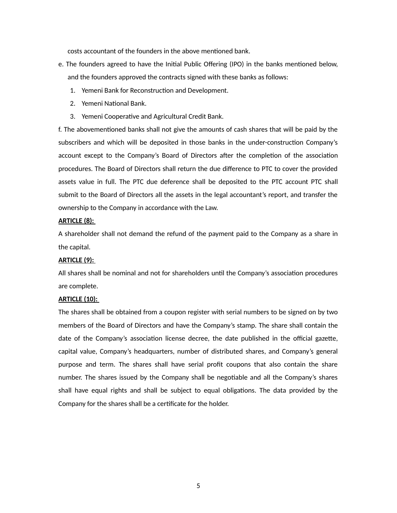costs accountant of the founders in the above mentioned bank.

- e. The founders agreed to have the Initial Public Offering (IPO) in the banks mentioned below, and the founders approved the contracts signed with these banks as follows:
	- 1. Yemeni Bank for Reconstruction and Development.
	- 2. Yemeni National Bank.
	- 3. Yemeni Cooperative and Agricultural Credit Bank.

f. The abovementioned banks shall not give the amounts of cash shares that will be paid by the subscribers and which will be deposited in those banks in the under-construction Company's account except to the Company's Board of Directors after the completion of the association procedures. The Board of Directors shall return the due difference to PTC to cover the provided assets value in full. The PTC due deference shall be deposited to the PTC account PTC shall submit to the Board of Directors all the assets in the legal accountant's report, and transfer the ownership to the Company in accordance with the Law.

# **ARTICLE (8):**

A shareholder shall not demand the refund of the payment paid to the Company as a share in the capital.

# **ARTICLE (9):**

All shares shall be nominal and not for shareholders until the Company's association procedures are complete.

# **ARTICLE (10):**

The shares shall be obtained from a coupon register with serial numbers to be signed on by two members of the Board of Directors and have the Company's stamp. The share shall contain the date of the Company's association license decree, the date published in the official gazette, capital value, Company's headquarters, number of distributed shares, and Company's general purpose and term. The shares shall have serial profit coupons that also contain the share number. The shares issued by the Company shall be negotiable and all the Company's shares shall have equal rights and shall be subject to equal obligations. The data provided by the Company for the shares shall be a certificate for the holder.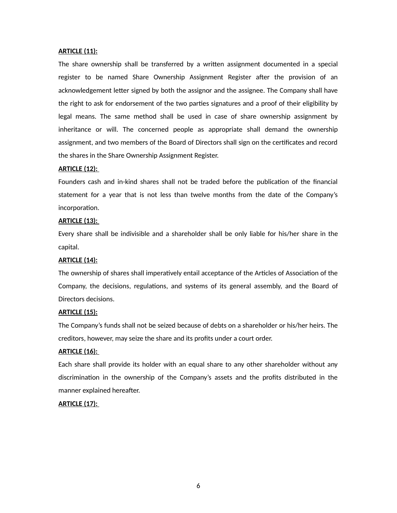# **ARTICLE (11):**

The share ownership shall be transferred by a written assignment documented in a special register to be named Share Ownership Assignment Register after the provision of an acknowledgement letter signed by both the assignor and the assignee. The Company shall have the right to ask for endorsement of the two parties signatures and a proof of their eligibility by legal means. The same method shall be used in case of share ownership assignment by inheritance or will. The concerned people as appropriate shall demand the ownership assignment, and two members of the Board of Directors shall sign on the certificates and record the shares in the Share Ownership Assignment Register.

### **ARTICLE (12):**

Founders cash and in-kind shares shall not be traded before the publication of the financial statement for a year that is not less than twelve months from the date of the Company's incorporation.

# **ARTICLE (13):**

Every share shall be indivisible and a shareholder shall be only liable for his/her share in the capital.

# **ARTICLE (14):**

The ownership of shares shall imperatively entail acceptance of the Articles of Association of the Company, the decisions, regulations, and systems of its general assembly, and the Board of Directors decisions.

#### **ARTICLE (15):**

The Company's funds shall not be seized because of debts on a shareholder or his/her heirs. The creditors, however, may seize the share and its profits under a court order.

### **ARTICLE (16):**

Each share shall provide its holder with an equal share to any other shareholder without any discrimination in the ownership of the Company's assets and the profits distributed in the manner explained hereafter.

# **ARTICLE (17):**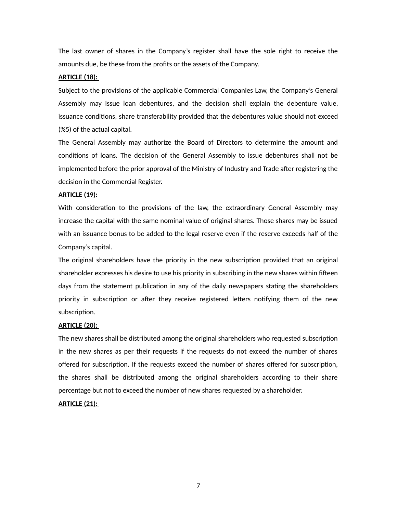The last owner of shares in the Company's register shall have the sole right to receive the amounts due, be these from the profits or the assets of the Company.

### **ARTICLE (18):**

Subject to the provisions of the applicable Commercial Companies Law, the Company's General Assembly may issue loan debentures, and the decision shall explain the debenture value, issuance conditions, share transferability provided that the debentures value should not exceed (%5) of the actual capital.

The General Assembly may authorize the Board of Directors to determine the amount and conditions of loans. The decision of the General Assembly to issue debentures shall not be implemented before the prior approval of the Ministry of Industry and Trade after registering the decision in the Commercial Register.

#### **ARTICLE (19):**

With consideration to the provisions of the law, the extraordinary General Assembly may increase the capital with the same nominal value of original shares. Those shares may be issued with an issuance bonus to be added to the legal reserve even if the reserve exceeds half of the Company's capital.

The original shareholders have the priority in the new subscription provided that an original shareholder expresses his desire to use his priority in subscribing in the new shares within fifteen days from the statement publication in any of the daily newspapers stating the shareholders priority in subscription or after they receive registered letters notifying them of the new subscription.

### **ARTICLE (20):**

The new shares shall be distributed among the original shareholders who requested subscription in the new shares as per their requests if the requests do not exceed the number of shares offered for subscription. If the requests exceed the number of shares offered for subscription, the shares shall be distributed among the original shareholders according to their share percentage but not to exceed the number of new shares requested by a shareholder.

# **ARTICLE (21):**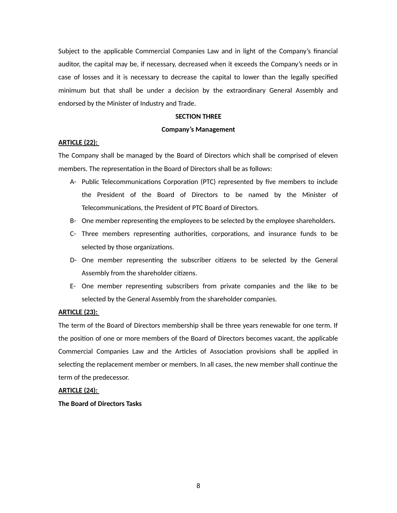Subject to the applicable Commercial Companies Law and in light of the Company's financial auditor, the capital may be, if necessary, decreased when it exceeds the Company's needs or in case of losses and it is necessary to decrease the capital to lower than the legally specified minimum but that shall be under a decision by the extraordinary General Assembly and endorsed by the Minister of Industry and Trade.

### **SECTION THREE**

#### **Company's Management**

# **ARTICLE (22):**

The Company shall be managed by the Board of Directors which shall be comprised of eleven members. The representation in the Board of Directors shall be as follows:

- A- Public Telecommunications Corporation (PTC) represented by five members to include the President of the Board of Directors to be named by the Minister of Telecommunications, the President of PTC Board of Directors.
- B- One member representing the employees to be selected by the employee shareholders.
- C- Three members representing authorities, corporations, and insurance funds to be selected by those organizations.
- D- One member representing the subscriber citizens to be selected by the General Assembly from the shareholder citizens.
- E- One member representing subscribers from private companies and the like to be selected by the General Assembly from the shareholder companies.

#### **ARTICLE (23):**

The term of the Board of Directors membership shall be three years renewable for one term. If the position of one or more members of the Board of Directors becomes vacant, the applicable Commercial Companies Law and the Articles of Association provisions shall be applied in selecting the replacement member or members. In all cases, the new member shall continue the term of the predecessor.

#### **ARTICLE (24):**

**The Board of Directors Tasks**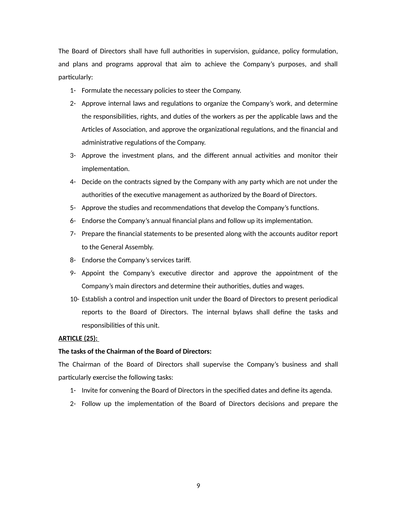The Board of Directors shall have full authorities in supervision, guidance, policy formulation, and plans and programs approval that aim to achieve the Company's purposes, and shall particularly:

- 1- Formulate the necessary policies to steer the Company.
- 2- Approve internal laws and regulations to organize the Company's work, and determine the responsibilities, rights, and duties of the workers as per the applicable laws and the Articles of Association, and approve the organizational regulations, and the financial and administrative regulations of the Company.
- 3- Approve the investment plans, and the different annual activities and monitor their implementation.
- 4- Decide on the contracts signed by the Company with any party which are not under the authorities of the executive management as authorized by the Board of Directors.
- 5- Approve the studies and recommendations that develop the Company's functions.
- 6- Endorse the Company's annual financial plans and follow up its implementation.
- 7- Prepare the financial statements to be presented along with the accounts auditor report to the General Assembly.
- 8- Endorse the Company's services tariff.
- 9- Appoint the Company's executive director and approve the appointment of the Company's main directors and determine their authorities, duties and wages.
- 10- Establish a control and inspection unit under the Board of Directors to present periodical reports to the Board of Directors. The internal bylaws shall define the tasks and responsibilities of this unit.

# **ARTICLE (25):**

### **The tasks of the Chairman of the Board of Directors:**

The Chairman of the Board of Directors shall supervise the Company's business and shall particularly exercise the following tasks:

- 1- Invite for convening the Board of Directors in the specified dates and define its agenda.
- 2- Follow up the implementation of the Board of Directors decisions and prepare the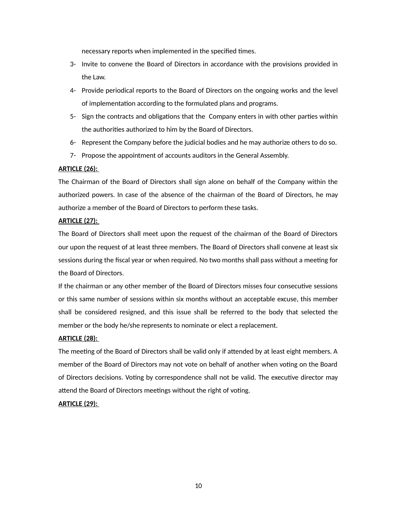necessary reports when implemented in the specified times.

- 3- Invite to convene the Board of Directors in accordance with the provisions provided in the Law.
- 4- Provide periodical reports to the Board of Directors on the ongoing works and the level of implementation according to the formulated plans and programs.
- 5- Sign the contracts and obligations that the Company enters in with other parties within the authorities authorized to him by the Board of Directors.
- 6- Represent the Company before the judicial bodies and he may authorize others to do so.
- 7- Propose the appointment of accounts auditors in the General Assembly.

# **ARTICLE (26):**

The Chairman of the Board of Directors shall sign alone on behalf of the Company within the authorized powers. In case of the absence of the chairman of the Board of Directors, he may authorize a member of the Board of Directors to perform these tasks.

# **ARTICLE (27):**

The Board of Directors shall meet upon the request of the chairman of the Board of Directors our upon the request of at least three members. The Board of Directors shall convene at least six sessions during the fiscal year or when required. No two months shall pass without a meeting for the Board of Directors.

If the chairman or any other member of the Board of Directors misses four consecutive sessions or this same number of sessions within six months without an acceptable excuse, this member shall be considered resigned, and this issue shall be referred to the body that selected the member or the body he/she represents to nominate or elect a replacement.

# **ARTICLE (28):**

The meeting of the Board of Directors shall be valid only if attended by at least eight members. A member of the Board of Directors may not vote on behalf of another when voting on the Board of Directors decisions. Voting by correspondence shall not be valid. The executive director may attend the Board of Directors meetings without the right of voting.

# **ARTICLE (29):**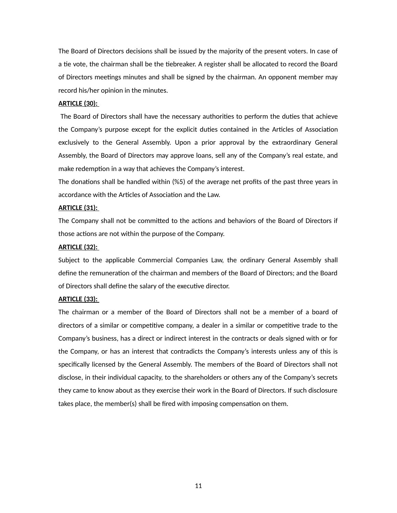The Board of Directors decisions shall be issued by the majority of the present voters. In case of a tie vote, the chairman shall be the tiebreaker. A register shall be allocated to record the Board of Directors meetings minutes and shall be signed by the chairman. An opponent member may record his/her opinion in the minutes.

# **ARTICLE (30):**

 The Board of Directors shall have the necessary authorities to perform the duties that achieve the Company's purpose except for the explicit duties contained in the Articles of Association exclusively to the General Assembly. Upon a prior approval by the extraordinary General Assembly, the Board of Directors may approve loans, sell any of the Company's real estate, and make redemption in a way that achieves the Company's interest.

The donations shall be handled within (%5) of the average net profits of the past three years in accordance with the Articles of Association and the Law.

### **ARTICLE (31):**

The Company shall not be committed to the actions and behaviors of the Board of Directors if those actions are not within the purpose of the Company.

### **ARTICLE (32):**

Subject to the applicable Commercial Companies Law, the ordinary General Assembly shall define the remuneration of the chairman and members of the Board of Directors; and the Board of Directors shall define the salary of the executive director.

# **ARTICLE (33):**

The chairman or a member of the Board of Directors shall not be a member of a board of directors of a similar or competitive company, a dealer in a similar or competitive trade to the Company's business, has a direct or indirect interest in the contracts or deals signed with or for the Company, or has an interest that contradicts the Company's interests unless any of this is specifically licensed by the General Assembly. The members of the Board of Directors shall not disclose, in their individual capacity, to the shareholders or others any of the Company's secrets they came to know about as they exercise their work in the Board of Directors. If such disclosure takes place, the member(s) shall be fired with imposing compensation on them.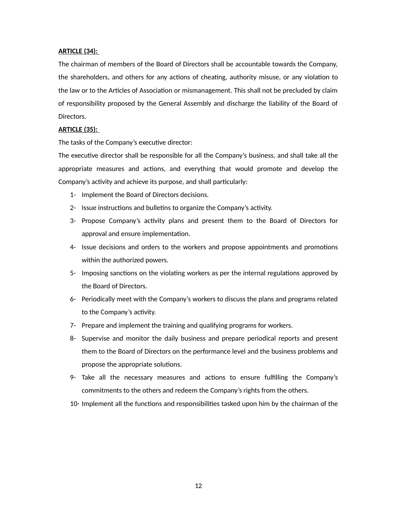# **ARTICLE (34):**

The chairman of members of the Board of Directors shall be accountable towards the Company, the shareholders, and others for any actions of cheating, authority misuse, or any violation to the law or to the Articles of Association or mismanagement. This shall not be precluded by claim of responsibility proposed by the General Assembly and discharge the liability of the Board of Directors.

# **ARTICLE (35):**

The tasks of the Company's executive director:

The executive director shall be responsible for all the Company's business, and shall take all the appropriate measures and actions, and everything that would promote and develop the Company's activity and achieve its purpose, and shall particularly:

- 1- Implement the Board of Directors decisions.
- 2- Issue instructions and bulletins to organize the Company's activity.
- 3- Propose Company's activity plans and present them to the Board of Directors for approval and ensure implementation.
- 4- Issue decisions and orders to the workers and propose appointments and promotions within the authorized powers.
- 5- Imposing sanctions on the violating workers as per the internal regulations approved by the Board of Directors.
- 6- Periodically meet with the Company's workers to discuss the plans and programs related to the Company's activity.
- 7- Prepare and implement the training and qualifying programs for workers.
- 8- Supervise and monitor the daily business and prepare periodical reports and present them to the Board of Directors on the performance level and the business problems and propose the appropriate solutions.
- 9- Take all the necessary measures and actions to ensure fulfilling the Company's commitments to the others and redeem the Company's rights from the others.
- 10- Implement all the functions and responsibilities tasked upon him by the chairman of the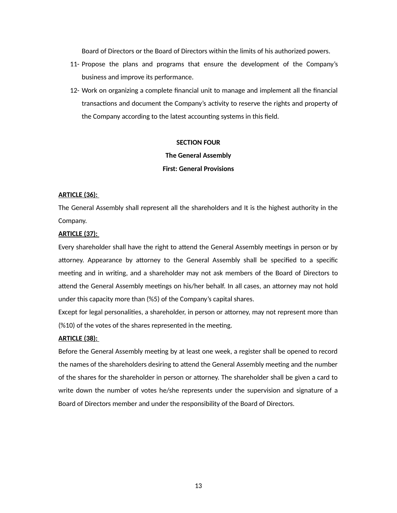Board of Directors or the Board of Directors within the limits of his authorized powers.

- 11- Propose the plans and programs that ensure the development of the Company's business and improve its performance.
- 12- Work on organizing a complete financial unit to manage and implement all the financial transactions and document the Company's activity to reserve the rights and property of the Company according to the latest accounting systems in this field.

# **SECTION FOUR**

### **The General Assembly**

# **First: General Provisions**

### **ARTICLE (36):**

The General Assembly shall represent all the shareholders and It is the highest authority in the Company.

### **ARTICLE (37):**

Every shareholder shall have the right to attend the General Assembly meetings in person or by attorney. Appearance by attorney to the General Assembly shall be specified to a specific meeting and in writing, and a shareholder may not ask members of the Board of Directors to attend the General Assembly meetings on his/her behalf. In all cases, an attorney may not hold under this capacity more than (%5) of the Company's capital shares.

Except for legal personalities, a shareholder, in person or attorney, may not represent more than (%10) of the votes of the shares represented in the meeting.

### **ARTICLE (38):**

Before the General Assembly meeting by at least one week, a register shall be opened to record the names of the shareholders desiring to attend the General Assembly meeting and the number of the shares for the shareholder in person or attorney. The shareholder shall be given a card to write down the number of votes he/she represents under the supervision and signature of a Board of Directors member and under the responsibility of the Board of Directors.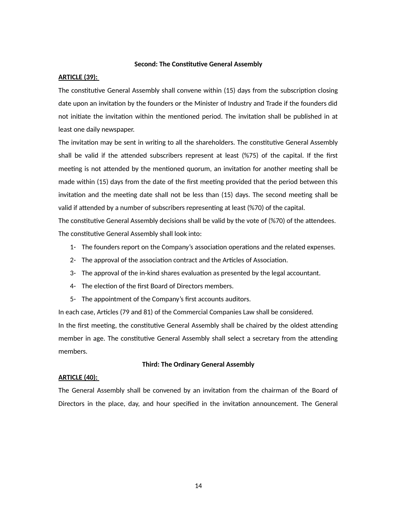### **Second: The Constitutive General Assembly**

#### **ARTICLE (39):**

The constitutive General Assembly shall convene within (15) days from the subscription closing date upon an invitation by the founders or the Minister of Industry and Trade if the founders did not initiate the invitation within the mentioned period. The invitation shall be published in at least one daily newspaper.

The invitation may be sent in writing to all the shareholders. The constitutive General Assembly shall be valid if the attended subscribers represent at least (%75) of the capital. If the first meeting is not attended by the mentioned quorum, an invitation for another meeting shall be made within (15) days from the date of the first meeting provided that the period between this invitation and the meeting date shall not be less than (15) days. The second meeting shall be valid if attended by a number of subscribers representing at least (%70) of the capital.

The constitutive General Assembly decisions shall be valid by the vote of (%70) of the attendees. The constitutive General Assembly shall look into:

- 1- The founders report on the Company's association operations and the related expenses.
- 2- The approval of the association contract and the Articles of Association.
- 3- The approval of the in-kind shares evaluation as presented by the legal accountant.
- 4- The election of the first Board of Directors members.
- 5- The appointment of the Company's first accounts auditors.

In each case, Articles (79 and 81) of the Commercial Companies Law shall be considered. In the first meeting, the constitutive General Assembly shall be chaired by the oldest attending member in age. The constitutive General Assembly shall select a secretary from the attending members.

### **Third: The Ordinary General Assembly**

### **ARTICLE (40):**

The General Assembly shall be convened by an invitation from the chairman of the Board of Directors in the place, day, and hour specified in the invitation announcement. The General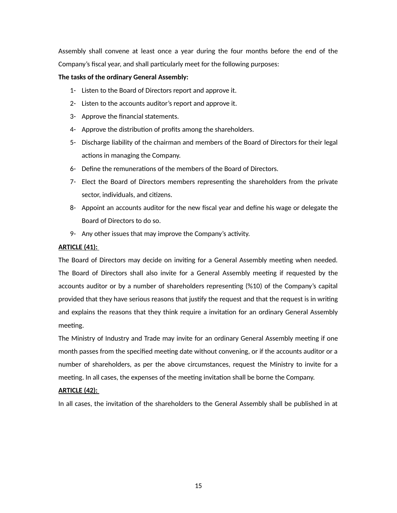Assembly shall convene at least once a year during the four months before the end of the Company's fiscal year, and shall particularly meet for the following purposes:

# **The tasks of the ordinary General Assembly:**

- 1- Listen to the Board of Directors report and approve it.
- 2- Listen to the accounts auditor's report and approve it.
- 3- Approve the financial statements.
- 4- Approve the distribution of profits among the shareholders.
- 5- Discharge liability of the chairman and members of the Board of Directors for their legal actions in managing the Company.
- 6- Define the remunerations of the members of the Board of Directors.
- 7- Elect the Board of Directors members representing the shareholders from the private sector, individuals, and citizens.
- 8- Appoint an accounts auditor for the new fiscal year and define his wage or delegate the Board of Directors to do so.
- 9- Any other issues that may improve the Company's activity.

# **ARTICLE (41):**

The Board of Directors may decide on inviting for a General Assembly meeting when needed. The Board of Directors shall also invite for a General Assembly meeting if requested by the accounts auditor or by a number of shareholders representing (%10) of the Company's capital provided that they have serious reasons that justify the request and that the request is in writing and explains the reasons that they think require a invitation for an ordinary General Assembly meeting.

The Ministry of Industry and Trade may invite for an ordinary General Assembly meeting if one month passes from the specified meeting date without convening, or if the accounts auditor or a number of shareholders, as per the above circumstances, request the Ministry to invite for a meeting. In all cases, the expenses of the meeting invitation shall be borne the Company.

# **ARTICLE (42):**

In all cases, the invitation of the shareholders to the General Assembly shall be published in at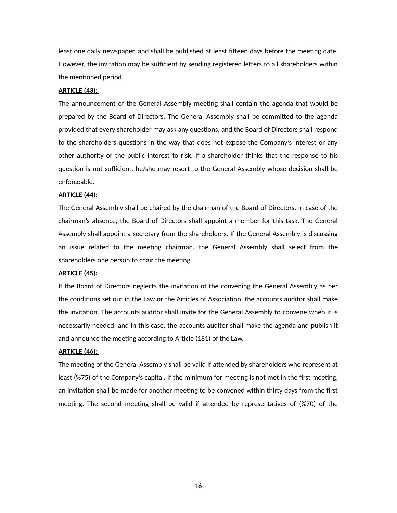least one daily newspaper, and shall be published at least fifteen days before the meeting date. However, the invitation may be sufficient by sending registered letters to all shareholders within the mentioned period.

### **ARTICLE (43):**

The announcement of the General Assembly meeting shall contain the agenda that would be prepared by the Board of Directors. The General Assembly shall be committed to the agenda provided that every shareholder may ask any questions, and the Board of Directors shall respond to the shareholders questions in the way that does not expose the Company's interest or any other authority or the public interest to risk. If a shareholder thinks that the response to his question is not sufficient, he/she may resort to the General Assembly whose decision shall be enforceable.

#### **ARTICLE (44):**

The General Assembly shall be chaired by the chairman of the Board of Directors. In case of the chairman's absence, the Board of Directors shall appoint a member for this task. The General Assembly shall appoint a secretary from the shareholders. If the General Assembly is discussing an issue related to the meeting chairman, the General Assembly shall select from the shareholders one person to chair the meeting.

#### **ARTICLE (45):**

If the Board of Directors neglects the invitation of the convening the General Assembly as per the conditions set out in the Law or the Articles of Association, the accounts auditor shall make the invitation. The accounts auditor shall invite for the General Assembly to convene when it is necessarily needed, and in this case, the accounts auditor shall make the agenda and publish it and announce the meeting according to Article (181) of the Law.

#### **ARTICLE (46):**

The meeting of the General Assembly shall be valid if attended by shareholders who represent at least (%75) of the Company's capital. If the minimum for meeting is not met in the first meeting, an invitation shall be made for another meeting to be convened within thirty days from the first meeting. The second meeting shall be valid if attended by representatives of (%70) of the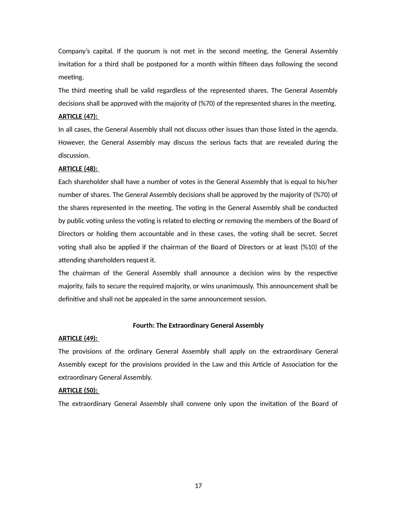Company's capital. If the quorum is not met in the second meeting, the General Assembly invitation for a third shall be postponed for a month within fifteen days following the second meeting.

The third meeting shall be valid regardless of the represented shares. The General Assembly decisions shall be approved with the majority of (%70) of the represented shares in the meeting.

# **ARTICLE (47):**

In all cases, the General Assembly shall not discuss other issues than those listed in the agenda. However, the General Assembly may discuss the serious facts that are revealed during the discussion.

# **ARTICLE (48):**

Each shareholder shall have a number of votes in the General Assembly that is equal to his/her number of shares. The General Assembly decisions shall be approved by the majority of (%70) of the shares represented in the meeting. The voting in the General Assembly shall be conducted by public voting unless the voting is related to electing or removing the members of the Board of Directors or holding them accountable and in these cases, the voting shall be secret. Secret voting shall also be applied if the chairman of the Board of Directors or at least (%10) of the attending shareholders request it.

The chairman of the General Assembly shall announce a decision wins by the respective majority, fails to secure the required majority, or wins unanimously. This announcement shall be definitive and shall not be appealed in the same announcement session.

### **Fourth: The Extraordinary General Assembly**

### **ARTICLE (49):**

The provisions of the ordinary General Assembly shall apply on the extraordinary General Assembly except for the provisions provided in the Law and this Article of Association for the extraordinary General Assembly.

### **ARTICLE (50):**

The extraordinary General Assembly shall convene only upon the invitation of the Board of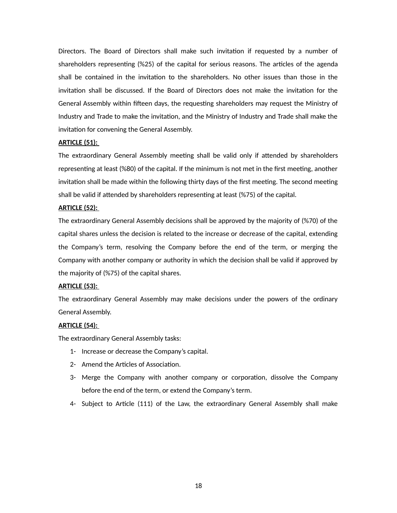Directors. The Board of Directors shall make such invitation if requested by a number of shareholders representing (%25) of the capital for serious reasons. The articles of the agenda shall be contained in the invitation to the shareholders. No other issues than those in the invitation shall be discussed. If the Board of Directors does not make the invitation for the General Assembly within fifteen days, the requesting shareholders may request the Ministry of Industry and Trade to make the invitation, and the Ministry of Industry and Trade shall make the invitation for convening the General Assembly.

# **ARTICLE (51):**

The extraordinary General Assembly meeting shall be valid only if attended by shareholders representing at least (%80) of the capital. If the minimum is not met in the first meeting, another invitation shall be made within the following thirty days of the first meeting. The second meeting shall be valid if attended by shareholders representing at least (%75) of the capital.

# **ARTICLE (52):**

The extraordinary General Assembly decisions shall be approved by the majority of (%70) of the capital shares unless the decision is related to the increase or decrease of the capital, extending the Company's term, resolving the Company before the end of the term, or merging the Company with another company or authority in which the decision shall be valid if approved by the majority of (%75) of the capital shares.

# **ARTICLE (53):**

The extraordinary General Assembly may make decisions under the powers of the ordinary General Assembly.

# **ARTICLE (54):**

The extraordinary General Assembly tasks:

- 1- Increase or decrease the Company's capital.
- 2- Amend the Articles of Association.
- 3- Merge the Company with another company or corporation, dissolve the Company before the end of the term, or extend the Company's term.
- 4- Subject to Article (111) of the Law, the extraordinary General Assembly shall make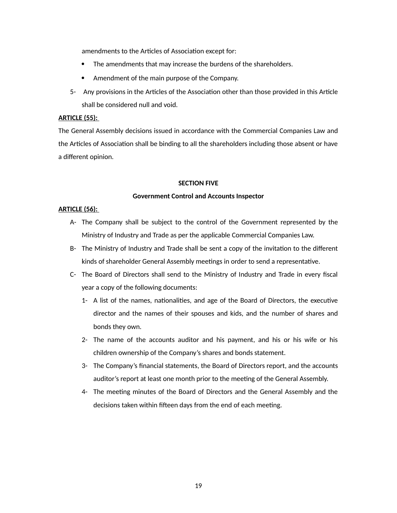amendments to the Articles of Association except for:

- The amendments that may increase the burdens of the shareholders.
- Amendment of the main purpose of the Company.
- 5- Any provisions in the Articles of the Association other than those provided in this Article shall be considered null and void.

# **ARTICLE (55):**

The General Assembly decisions issued in accordance with the Commercial Companies Law and the Articles of Association shall be binding to all the shareholders including those absent or have a different opinion.

### **SECTION FIVE**

### **Government Control and Accounts Inspector**

### **ARTICLE (56):**

- A- The Company shall be subject to the control of the Government represented by the Ministry of Industry and Trade as per the applicable Commercial Companies Law.
- B- The Ministry of Industry and Trade shall be sent a copy of the invitation to the different kinds of shareholder General Assembly meetings in order to send a representative.
- C- The Board of Directors shall send to the Ministry of Industry and Trade in every fiscal year a copy of the following documents:
	- 1- A list of the names, nationalities, and age of the Board of Directors, the executive director and the names of their spouses and kids, and the number of shares and bonds they own.
	- 2- The name of the accounts auditor and his payment, and his or his wife or his children ownership of the Company's shares and bonds statement.
	- 3- The Company's financial statements, the Board of Directors report, and the accounts auditor's report at least one month prior to the meeting of the General Assembly.
	- 4- The meeting minutes of the Board of Directors and the General Assembly and the decisions taken within fifteen days from the end of each meeting.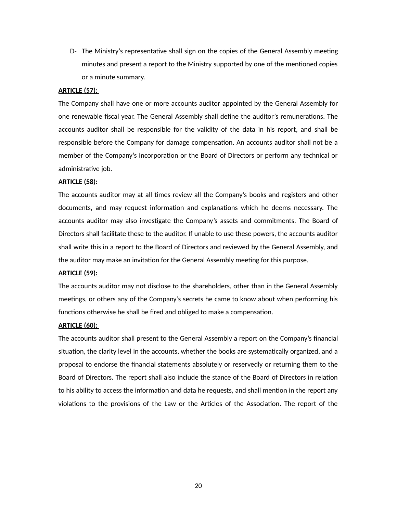D- The Ministry's representative shall sign on the copies of the General Assembly meeting minutes and present a report to the Ministry supported by one of the mentioned copies or a minute summary.

### **ARTICLE (57):**

The Company shall have one or more accounts auditor appointed by the General Assembly for one renewable fiscal year. The General Assembly shall define the auditor's remunerations. The accounts auditor shall be responsible for the validity of the data in his report, and shall be responsible before the Company for damage compensation. An accounts auditor shall not be a member of the Company's incorporation or the Board of Directors or perform any technical or administrative job.

# **ARTICLE (58):**

The accounts auditor may at all times review all the Company's books and registers and other documents, and may request information and explanations which he deems necessary. The accounts auditor may also investigate the Company's assets and commitments. The Board of Directors shall facilitate these to the auditor. If unable to use these powers, the accounts auditor shall write this in a report to the Board of Directors and reviewed by the General Assembly, and the auditor may make an invitation for the General Assembly meeting for this purpose.

### **ARTICLE (59):**

The accounts auditor may not disclose to the shareholders, other than in the General Assembly meetings, or others any of the Company's secrets he came to know about when performing his functions otherwise he shall be fired and obliged to make a compensation.

### **ARTICLE (60):**

The accounts auditor shall present to the General Assembly a report on the Company's financial situation, the clarity level in the accounts, whether the books are systematically organized, and a proposal to endorse the financial statements absolutely or reservedly or returning them to the Board of Directors. The report shall also include the stance of the Board of Directors in relation to his ability to access the information and data he requests, and shall mention in the report any violations to the provisions of the Law or the Articles of the Association. The report of the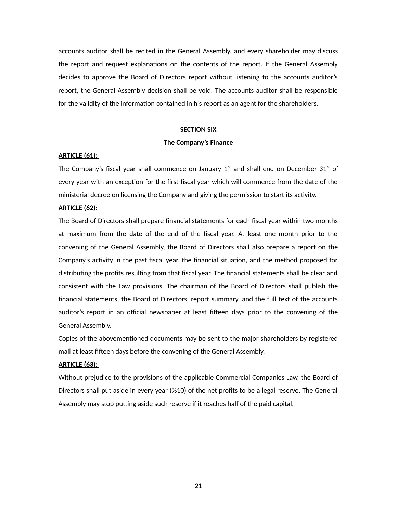accounts auditor shall be recited in the General Assembly, and every shareholder may discuss the report and request explanations on the contents of the report. If the General Assembly decides to approve the Board of Directors report without listening to the accounts auditor's report, the General Assembly decision shall be void. The accounts auditor shall be responsible for the validity of the information contained in his report as an agent for the shareholders.

#### **SECTION SIX**

### **The Company's Finance**

#### **ARTICLE (61):**

The Company's fiscal year shall commence on January  $1<sup>st</sup>$  and shall end on December 31 $<sup>st</sup>$  of</sup> every year with an exception for the first fiscal year which will commence from the date of the ministerial decree on licensing the Company and giving the permission to start its activity.

### **ARTICLE (62):**

The Board of Directors shall prepare financial statements for each fiscal year within two months at maximum from the date of the end of the fiscal year. At least one month prior to the convening of the General Assembly, the Board of Directors shall also prepare a report on the Company's activity in the past fiscal year, the financial situation, and the method proposed for distributing the profits resulting from that fiscal year. The financial statements shall be clear and consistent with the Law provisions. The chairman of the Board of Directors shall publish the financial statements, the Board of Directors' report summary, and the full text of the accounts auditor's report in an official newspaper at least fifteen days prior to the convening of the General Assembly.

Copies of the abovementioned documents may be sent to the major shareholders by registered mail at least fifteen days before the convening of the General Assembly.

### **ARTICLE (63):**

Without prejudice to the provisions of the applicable Commercial Companies Law, the Board of Directors shall put aside in every year (%10) of the net profits to be a legal reserve. The General Assembly may stop putting aside such reserve if it reaches half of the paid capital.

21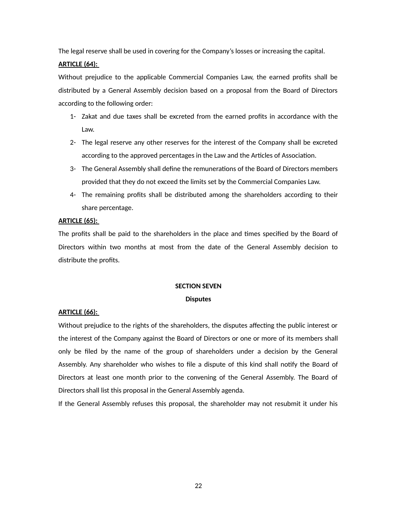The legal reserve shall be used in covering for the Company's losses or increasing the capital.

# **ARTICLE (64):**

Without prejudice to the applicable Commercial Companies Law, the earned profits shall be distributed by a General Assembly decision based on a proposal from the Board of Directors according to the following order:

- 1- Zakat and due taxes shall be excreted from the earned profits in accordance with the Law.
- 2- The legal reserve any other reserves for the interest of the Company shall be excreted according to the approved percentages in the Law and the Articles of Association.
- 3- The General Assembly shall define the remunerations of the Board of Directors members provided that they do not exceed the limits set by the Commercial Companies Law.
- 4- The remaining profits shall be distributed among the shareholders according to their share percentage.

# **ARTICLE (65):**

The profits shall be paid to the shareholders in the place and times specified by the Board of Directors within two months at most from the date of the General Assembly decision to distribute the profits.

# **SECTION SEVEN**

# **Disputes**

# **ARTICLE (66):**

Without prejudice to the rights of the shareholders, the disputes affecting the public interest or the interest of the Company against the Board of Directors or one or more of its members shall only be filed by the name of the group of shareholders under a decision by the General Assembly. Any shareholder who wishes to file a dispute of this kind shall notify the Board of Directors at least one month prior to the convening of the General Assembly. The Board of Directors shall list this proposal in the General Assembly agenda.

If the General Assembly refuses this proposal, the shareholder may not resubmit it under his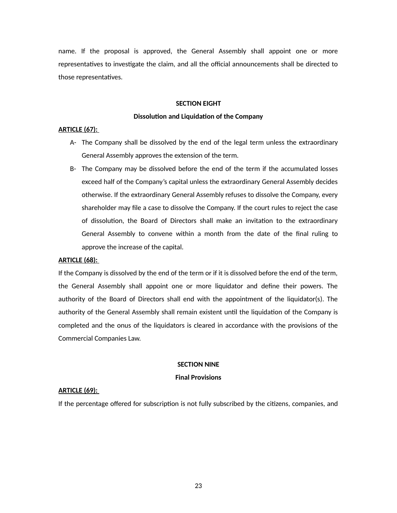name. If the proposal is approved, the General Assembly shall appoint one or more representatives to investigate the claim, and all the official announcements shall be directed to those representatives.

# **SECTION EIGHT**

### **Dissolution and Liquidation of the Company**

# **ARTICLE (67):**

- A- The Company shall be dissolved by the end of the legal term unless the extraordinary General Assembly approves the extension of the term.
- B- The Company may be dissolved before the end of the term if the accumulated losses exceed half of the Company's capital unless the extraordinary General Assembly decides otherwise. If the extraordinary General Assembly refuses to dissolve the Company, every shareholder may file a case to dissolve the Company. If the court rules to reject the case of dissolution, the Board of Directors shall make an invitation to the extraordinary General Assembly to convene within a month from the date of the final ruling to approve the increase of the capital.

### **ARTICLE (68):**

If the Company is dissolved by the end of the term or if it is dissolved before the end of the term, the General Assembly shall appoint one or more liquidator and define their powers. The authority of the Board of Directors shall end with the appointment of the liquidator(s). The authority of the General Assembly shall remain existent until the liquidation of the Company is completed and the onus of the liquidators is cleared in accordance with the provisions of the Commercial Companies Law.

### **SECTION NINE**

# **Final Provisions**

# **ARTICLE (69):**

If the percentage offered for subscription is not fully subscribed by the citizens, companies, and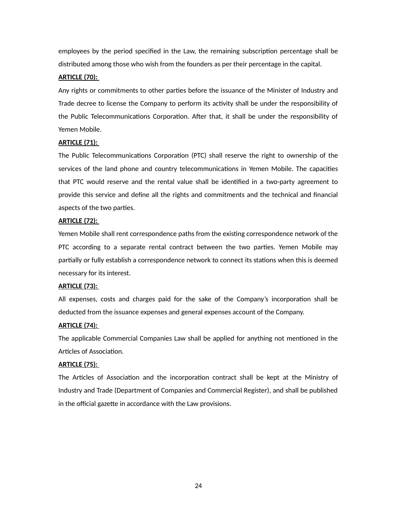employees by the period specified in the Law, the remaining subscription percentage shall be distributed among those who wish from the founders as per their percentage in the capital.

# **ARTICLE (70):**

Any rights or commitments to other parties before the issuance of the Minister of Industry and Trade decree to license the Company to perform its activity shall be under the responsibility of the Public Telecommunications Corporation. After that, it shall be under the responsibility of Yemen Mobile.

# **ARTICLE (71):**

The Public Telecommunications Corporation (PTC) shall reserve the right to ownership of the services of the land phone and country telecommunications in Yemen Mobile. The capacities that PTC would reserve and the rental value shall be identified in a two-party agreement to provide this service and define all the rights and commitments and the technical and financial aspects of the two parties.

### **ARTICLE (72):**

Yemen Mobile shall rent correspondence paths from the existing correspondence network of the PTC according to a separate rental contract between the two parties. Yemen Mobile may partially or fully establish a correspondence network to connect its stations when this is deemed necessary for its interest.

### **ARTICLE (73):**

All expenses, costs and charges paid for the sake of the Company's incorporation shall be deducted from the issuance expenses and general expenses account of the Company.

### **ARTICLE (74):**

The applicable Commercial Companies Law shall be applied for anything not mentioned in the Articles of Association.

# **ARTICLE (75):**

The Articles of Association and the incorporation contract shall be kept at the Ministry of Industry and Trade (Department of Companies and Commercial Register), and shall be published in the official gazette in accordance with the Law provisions.